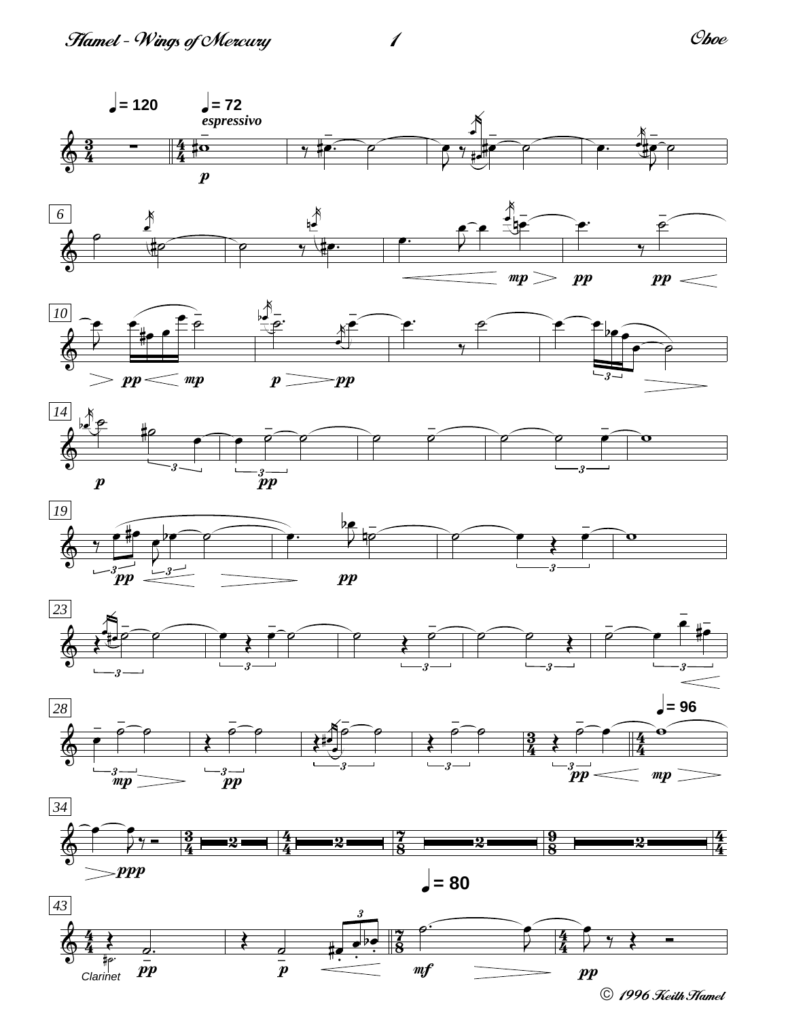1



1996 Keith Hamel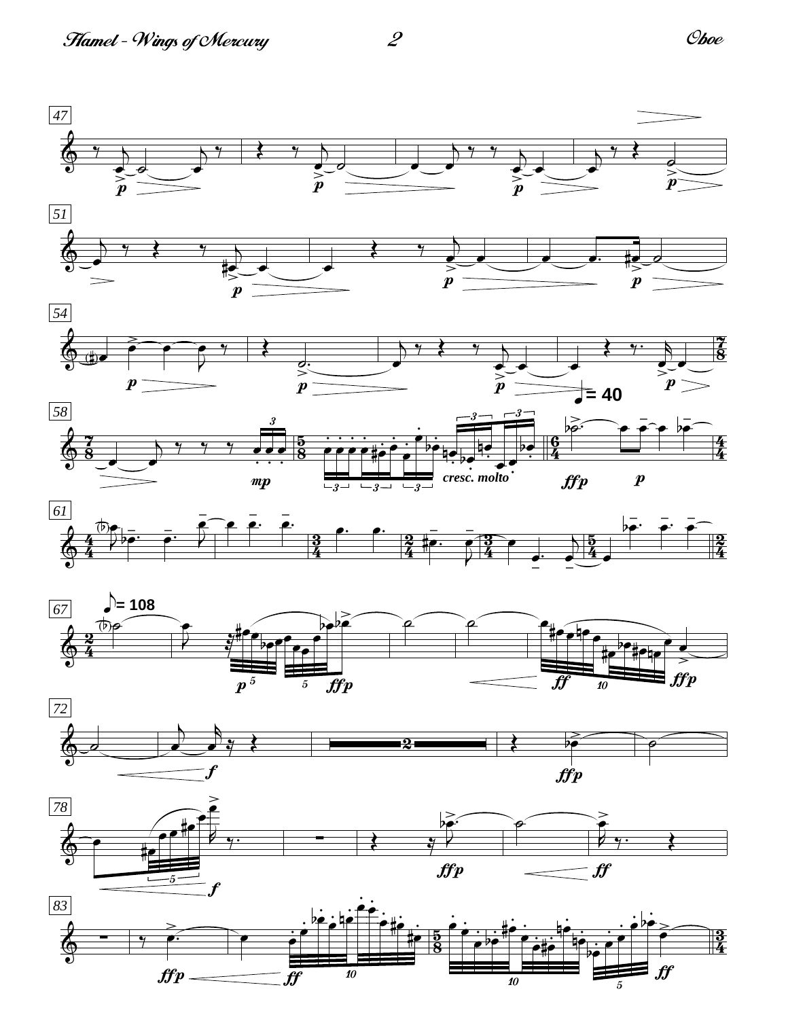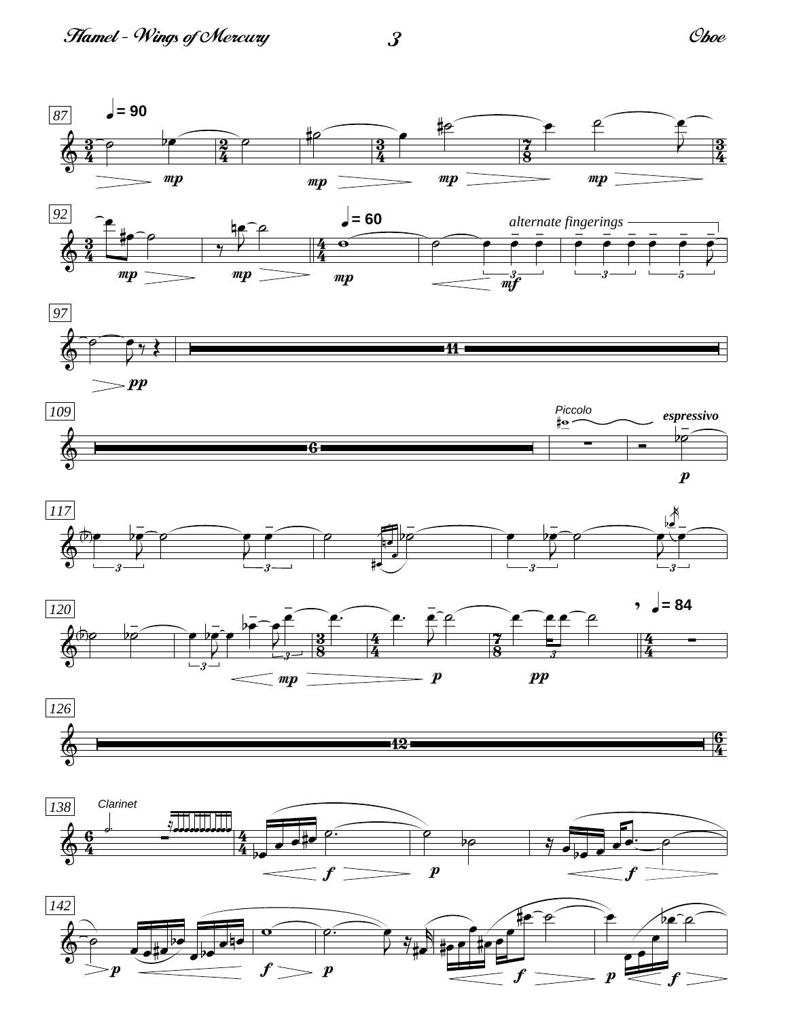Oboe

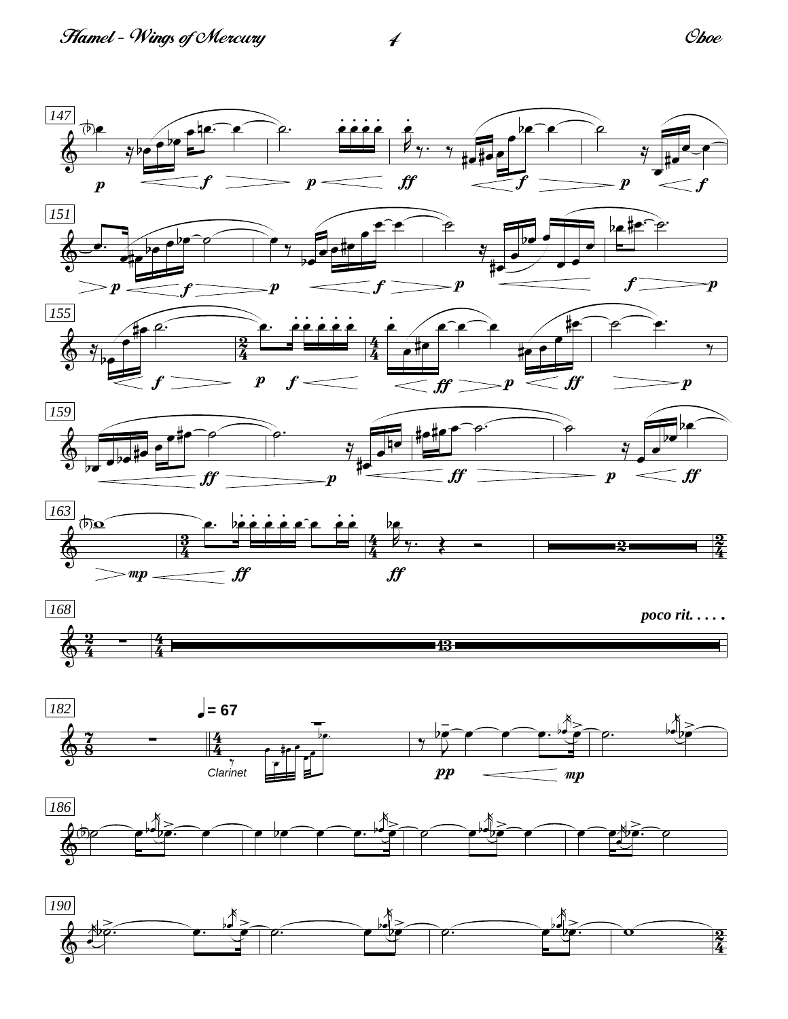$\overline{\Phi}$ 

 $\overline{\mathbb{P}}$ 

 $\overline{\phantom{a}}$  $\ddot{\phantom{0}}$ 

 $\frac{1}{6}$ 

*151*

















 $\boldsymbol{f}$ 

 $\boldsymbol{p}$